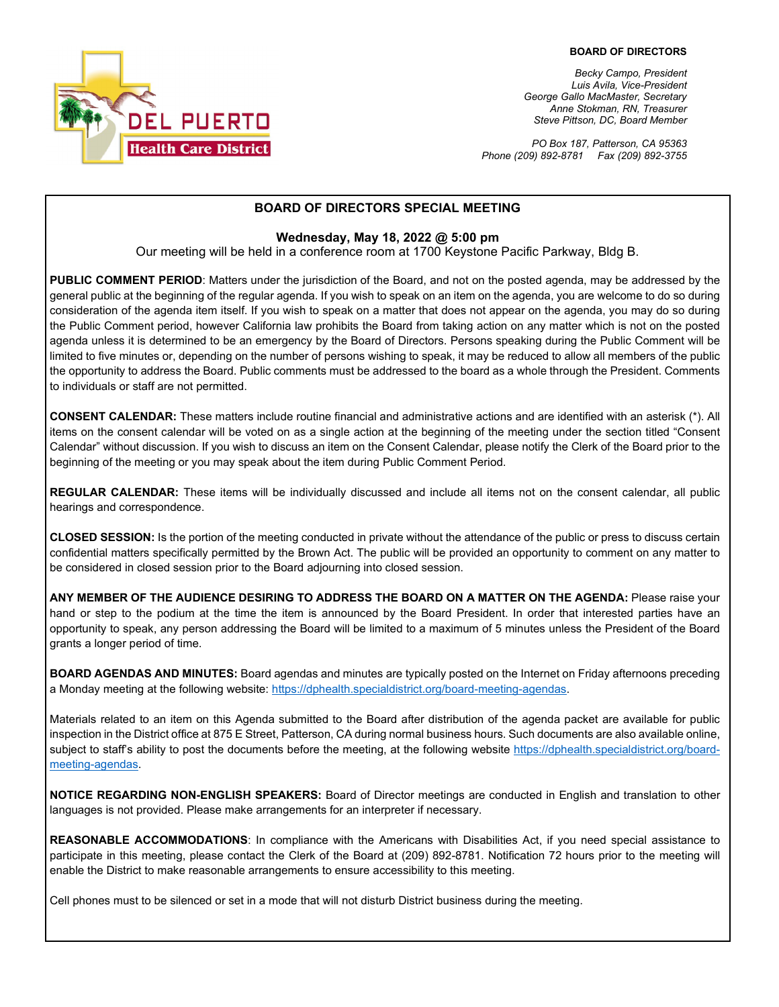

*Becky Campo, President Luis Avila, Vice-President George Gallo MacMaster, Secretary Anne Stokman, RN, Treasurer Steve Pittson, DC, Board Member*

*PO Box 187, Patterson, CA 95363 Phone (209) 892-8781 Fax (209) 892-3755*

## **BOARD OF DIRECTORS SPECIAL MEETING**

#### **Wednesday, May 18, 2022 @ 5:00 pm**

Our meeting will be held in a conference room at 1700 Keystone Pacific Parkway, Bldg B.

**PUBLIC COMMENT PERIOD**: Matters under the jurisdiction of the Board, and not on the posted agenda, may be addressed by the general public at the beginning of the regular agenda. If you wish to speak on an item on the agenda, you are welcome to do so during consideration of the agenda item itself. If you wish to speak on a matter that does not appear on the agenda, you may do so during the Public Comment period, however California law prohibits the Board from taking action on any matter which is not on the posted agenda unless it is determined to be an emergency by the Board of Directors. Persons speaking during the Public Comment will be limited to five minutes or, depending on the number of persons wishing to speak, it may be reduced to allow all members of the public the opportunity to address the Board. Public comments must be addressed to the board as a whole through the President. Comments to individuals or staff are not permitted.

**CONSENT CALENDAR:** These matters include routine financial and administrative actions and are identified with an asterisk (\*). All items on the consent calendar will be voted on as a single action at the beginning of the meeting under the section titled "Consent Calendar" without discussion. If you wish to discuss an item on the Consent Calendar, please notify the Clerk of the Board prior to the beginning of the meeting or you may speak about the item during Public Comment Period.

**REGULAR CALENDAR:** These items will be individually discussed and include all items not on the consent calendar, all public hearings and correspondence.

**CLOSED SESSION:** Is the portion of the meeting conducted in private without the attendance of the public or press to discuss certain confidential matters specifically permitted by the Brown Act. The public will be provided an opportunity to comment on any matter to be considered in closed session prior to the Board adjourning into closed session.

**ANY MEMBER OF THE AUDIENCE DESIRING TO ADDRESS THE BOARD ON A MATTER ON THE AGENDA:** Please raise your hand or step to the podium at the time the item is announced by the Board President. In order that interested parties have an opportunity to speak, any person addressing the Board will be limited to a maximum of 5 minutes unless the President of the Board grants a longer period of time.

**BOARD AGENDAS AND MINUTES:** Board agendas and minutes are typically posted on the Internet on Friday afternoons preceding a Monday meeting at the following website: [https://dphealth.specialdistrict.org/board-meeting-agendas.](https://dphealth.specialdistrict.org/board-meeting-agendas) 

Materials related to an item on this Agenda submitted to the Board after distribution of the agenda packet are available for public inspection in the District office at 875 E Street, Patterson, CA during normal business hours. Such documents are also available online, subject to staff's ability to post the documents before the meeting, at the following website [https://dphealth.specialdistrict.org/board](https://dphealth.specialdistrict.org/board-meeting-agendas)[meeting-agendas.](https://dphealth.specialdistrict.org/board-meeting-agendas)

**NOTICE REGARDING NON-ENGLISH SPEAKERS:** Board of Director meetings are conducted in English and translation to other languages is not provided. Please make arrangements for an interpreter if necessary.

**REASONABLE ACCOMMODATIONS**: In compliance with the Americans with Disabilities Act, if you need special assistance to participate in this meeting, please contact the Clerk of the Board at (209) 892-8781. Notification 72 hours prior to the meeting will enable the District to make reasonable arrangements to ensure accessibility to this meeting.

Cell phones must to be silenced or set in a mode that will not disturb District business during the meeting.